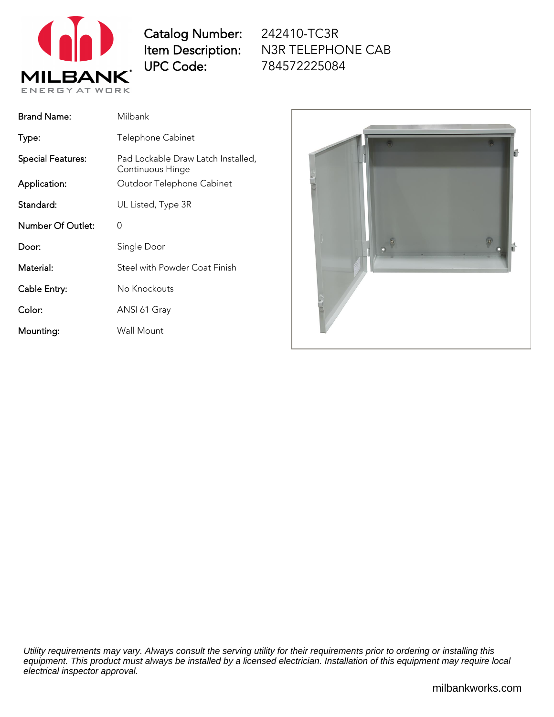

Catalog Number: Item Description: UPC Code:

242410-TC3R N3R TELEPHONE CAB 784572225084

| <b>Brand Name:</b>                       | Milbank                                                                             |
|------------------------------------------|-------------------------------------------------------------------------------------|
| Type:                                    | Telephone Cabinet                                                                   |
| <b>Special Features:</b><br>Application: | Pad Lockable Draw Latch Installed,<br>Continuous Hinge<br>Outdoor Telephone Cabinet |
| Standard:                                | UL Listed, Type 3R                                                                  |
| Number Of Outlet:                        | Ω                                                                                   |
| Door:                                    | Single Door                                                                         |
| Material:                                | Steel with Powder Coat Finish                                                       |
| Cable Entry:                             | No Knockouts                                                                        |
| Color:                                   | ANSI 61 Gray                                                                        |
| Mounting:                                | Wall Mount                                                                          |



Utility requirements may vary. Always consult the serving utility for their requirements prior to ordering or installing this equipment. This product must always be installed by a licensed electrician. Installation of this equipment may require local electrical inspector approval.